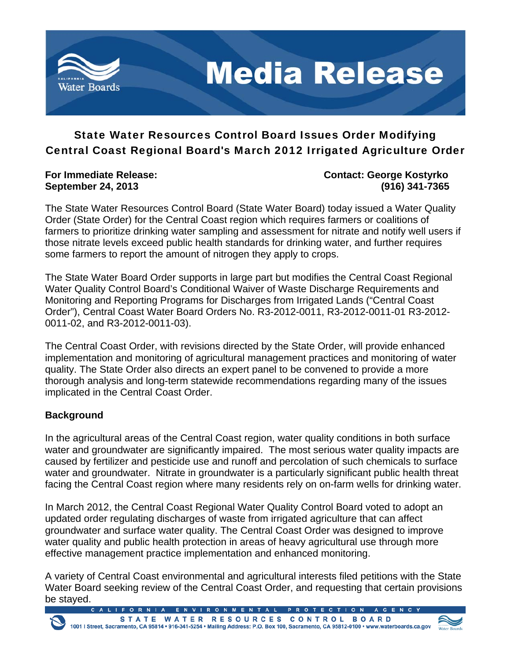

# State Water Resources Control Board Issues Order Modifying Central Coast Regional Board's March 2012 Irrigated Agriculture Order

**For Immediate Release: Contact: George Kostyrko September 24, 2013 (916) 341-7365** 

The State Water Resources Control Board (State Water Board) today issued a Water Quality Order (State Order) for the Central Coast region which requires farmers or coalitions of farmers to prioritize drinking water sampling and assessment for nitrate and notify well users if those nitrate levels exceed public health standards for drinking water, and further requires some farmers to report the amount of nitrogen they apply to crops.

The State Water Board Order supports in large part but modifies the Central Coast Regional Water Quality Control Board's Conditional Waiver of Waste Discharge Requirements and Monitoring and Reporting Programs for Discharges from Irrigated Lands ("Central Coast Order"), Central Coast Water Board Orders No. R3-2012-0011, R3-2012-0011-01 R3-2012- 0011-02, and R3-2012-0011-03).

The Central Coast Order, with revisions directed by the State Order, will provide enhanced implementation and monitoring of agricultural management practices and monitoring of water quality. The State Order also directs an expert panel to be convened to provide a more thorough analysis and long-term statewide recommendations regarding many of the issues implicated in the Central Coast Order.

# **Background**

In the agricultural areas of the Central Coast region, water quality conditions in both surface water and groundwater are significantly impaired. The most serious water quality impacts are caused by fertilizer and pesticide use and runoff and percolation of such chemicals to surface water and groundwater. Nitrate in groundwater is a particularly significant public health threat facing the Central Coast region where many residents rely on on-farm wells for drinking water.

In March 2012, the Central Coast Regional Water Quality Control Board voted to adopt an updated order regulating discharges of waste from irrigated agriculture that can affect groundwater and surface water quality. The Central Coast Order was designed to improve water quality and public health protection in areas of heavy agricultural use through more effective management practice implementation and enhanced monitoring.

A variety of Central Coast environmental and agricultural interests filed petitions with the State Water Board seeking review of the Central Coast Order, and requesting that certain provisions be stayed.

N V I R O N M E N T A L P R O T E C T I O N A G E STATE WATER RESOURCES CONTROL BOARD<br>1001 | Street, Sacramento, CA 95814 • 916-341-5254 • Mailing Address: P.O. Box 100, Sacramento, CA 95812-0100 • www.waterboards.ca.gov

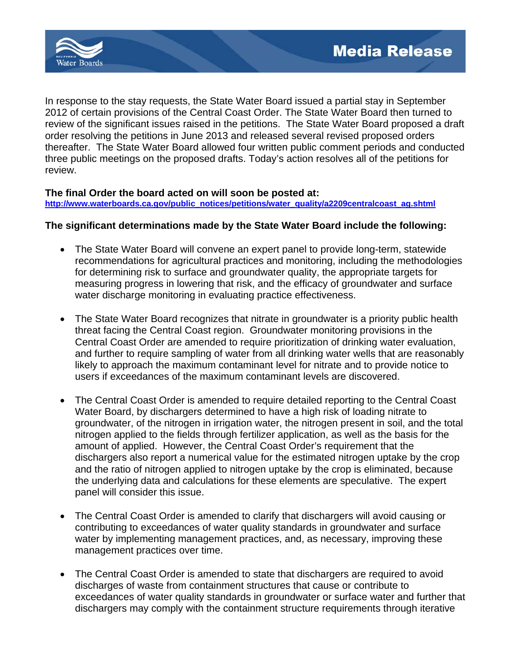

In response to the stay requests, the State Water Board issued a partial stay in September 2012 of certain provisions of the Central Coast Order. The State Water Board then turned to review of the significant issues raised in the petitions. The State Water Board proposed a draft order resolving the petitions in June 2013 and released several revised proposed orders thereafter. The State Water Board allowed four written public comment periods and conducted three public meetings on the proposed drafts. Today's action resolves all of the petitions for review.

## **The final Order the board acted on will soon be posted at:**

**http://www.waterboards.ca.gov/public\_notices/petitions/water\_quality/a2209centralcoast\_ag.shtml**

## **The significant determinations made by the State Water Board include the following:**

- The State Water Board will convene an expert panel to provide long-term, statewide recommendations for agricultural practices and monitoring, including the methodologies for determining risk to surface and groundwater quality, the appropriate targets for measuring progress in lowering that risk, and the efficacy of groundwater and surface water discharge monitoring in evaluating practice effectiveness.
- The State Water Board recognizes that nitrate in groundwater is a priority public health threat facing the Central Coast region. Groundwater monitoring provisions in the Central Coast Order are amended to require prioritization of drinking water evaluation, and further to require sampling of water from all drinking water wells that are reasonably likely to approach the maximum contaminant level for nitrate and to provide notice to users if exceedances of the maximum contaminant levels are discovered.
- The Central Coast Order is amended to require detailed reporting to the Central Coast Water Board, by dischargers determined to have a high risk of loading nitrate to groundwater, of the nitrogen in irrigation water, the nitrogen present in soil, and the total nitrogen applied to the fields through fertilizer application, as well as the basis for the amount of applied. However, the Central Coast Order's requirement that the dischargers also report a numerical value for the estimated nitrogen uptake by the crop and the ratio of nitrogen applied to nitrogen uptake by the crop is eliminated, because the underlying data and calculations for these elements are speculative. The expert panel will consider this issue.
- The Central Coast Order is amended to clarify that dischargers will avoid causing or contributing to exceedances of water quality standards in groundwater and surface water by implementing management practices, and, as necessary, improving these management practices over time.
- The Central Coast Order is amended to state that dischargers are required to avoid discharges of waste from containment structures that cause or contribute to exceedances of water quality standards in groundwater or surface water and further that dischargers may comply with the containment structure requirements through iterative